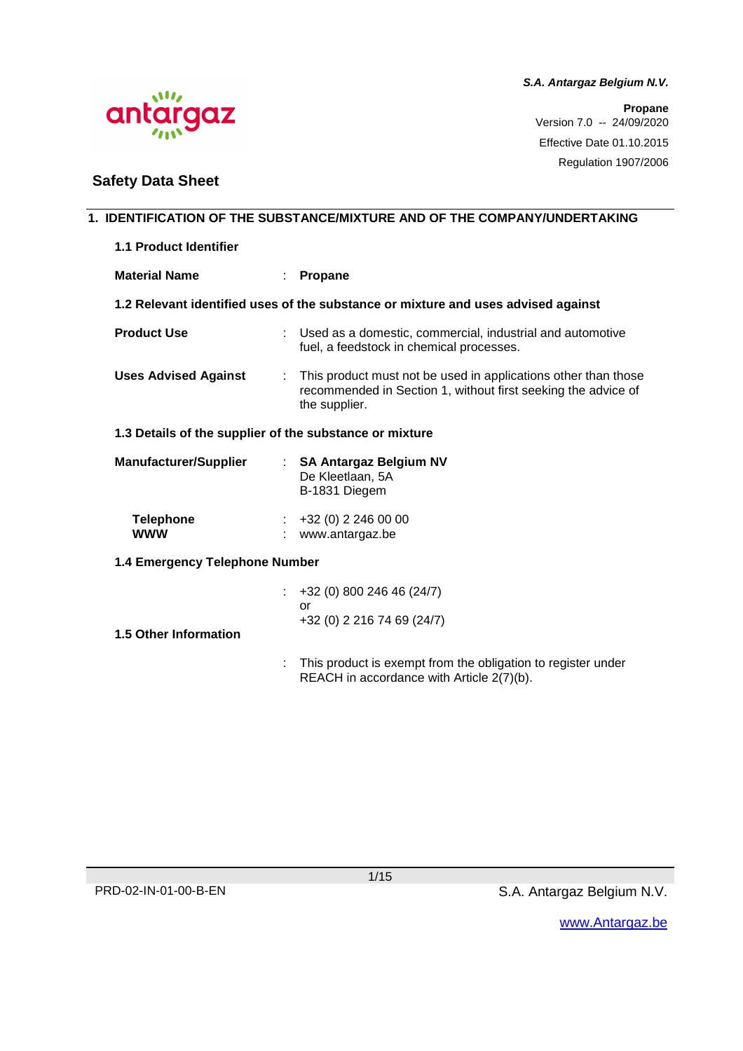

**Propane** Version 7.0 -- 24/09/2020 Effective Date 01.10.2015 Regulation 1907/2006

 $\mathcal{M}$ antargaz

# **Safety Data Sheet**

|                                |                                                         | 1. IDENTIFICATION OF THE SUBSTANCE/MIXTURE AND OF THE COMPANY/UNDERTAKING                                                                        |  |  |
|--------------------------------|---------------------------------------------------------|--------------------------------------------------------------------------------------------------------------------------------------------------|--|--|
| 1.1 Product Identifier         |                                                         |                                                                                                                                                  |  |  |
| <b>Material Name</b>           |                                                         | <b>Propane</b>                                                                                                                                   |  |  |
|                                |                                                         | 1.2 Relevant identified uses of the substance or mixture and uses advised against                                                                |  |  |
| <b>Product Use</b>             |                                                         | : Used as a domestic, commercial, industrial and automotive<br>fuel, a feedstock in chemical processes.                                          |  |  |
| <b>Uses Advised Against</b>    | ÷                                                       | This product must not be used in applications other than those<br>recommended in Section 1, without first seeking the advice of<br>the supplier. |  |  |
|                                | 1.3 Details of the supplier of the substance or mixture |                                                                                                                                                  |  |  |
| <b>Manufacturer/Supplier</b>   |                                                         | : SA Antargaz Belgium NV<br>De Kleetlaan, 5A<br>B-1831 Diegem                                                                                    |  |  |
| <b>Telephone</b><br><b>WWW</b> |                                                         | $\div$ +32 (0) 2 246 00 00<br>: www.antargaz.be                                                                                                  |  |  |
| 1.4 Emergency Telephone Number |                                                         |                                                                                                                                                  |  |  |
| <b>1.5 Other Information</b>   |                                                         | +32 (0) 800 246 46 (24/7)<br>or<br>+32 (0) 2 216 74 69 (24/7)                                                                                    |  |  |
|                                |                                                         | This product is exempt from the obligation to register under<br>REACH in accordance with Article 2(7)(b).                                        |  |  |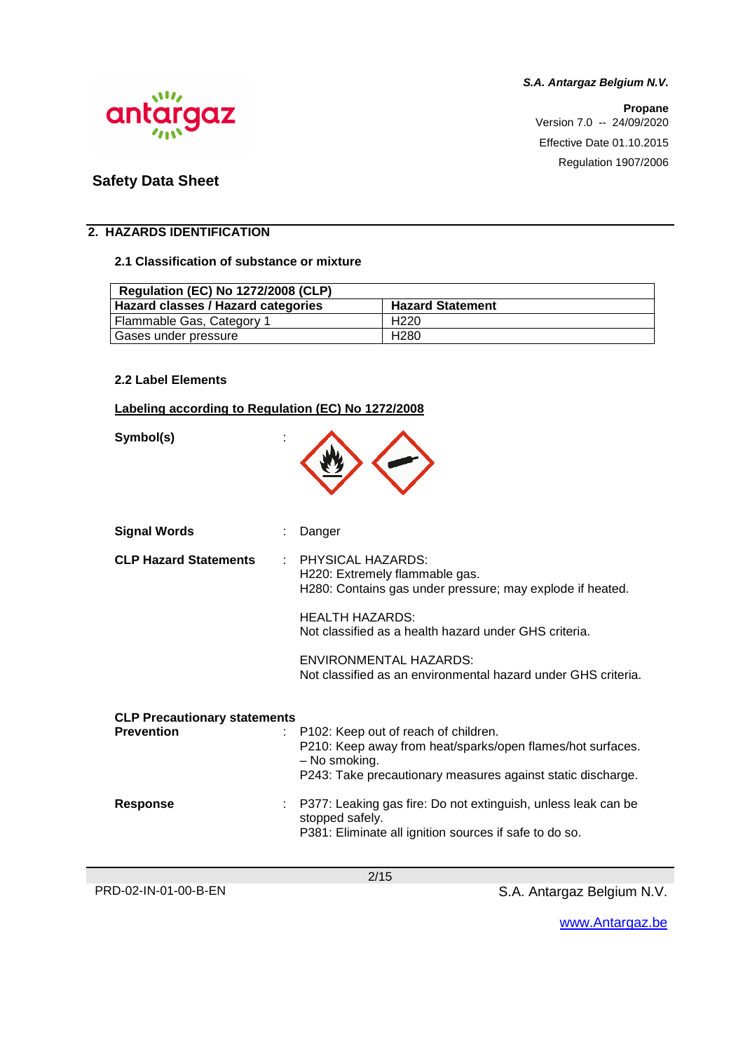**Propane** Version 7.0 -- 24/09/2020 Effective Date 01.10.2015 Regulation 1907/2006



# **Safety Data Sheet**

# **2. HAZARDS IDENTIFICATION**

### **2.1 Classification of substance or mixture**

| <b>Regulation (EC) No 1272/2008 (CLP)</b> |                         |
|-------------------------------------------|-------------------------|
| Hazard classes / Hazard categories        | <b>Hazard Statement</b> |
| Flammable Gas, Category 1                 | H <sub>220</sub>        |
| Gases under pressure                      | H <sub>280</sub>        |

#### **2.2 Label Elements**

### **Labeling according to Regulation (EC) No 1272/2008**

**Symbol(s)** :

| <b>Signal Words</b>                 | Danger                                                                                                                                     |
|-------------------------------------|--------------------------------------------------------------------------------------------------------------------------------------------|
| <b>CLP Hazard Statements</b>        | <b>PHYSICAL HAZARDS:</b><br>H220: Extremely flammable gas.<br>H280: Contains gas under pressure; may explode if heated.                    |
|                                     | <b>HEALTH HAZARDS:</b><br>Not classified as a health hazard under GHS criteria.                                                            |
|                                     | ENVIRONMENTAL HAZARDS:<br>Not classified as an environmental hazard under GHS criteria.                                                    |
|                                     |                                                                                                                                            |
| <b>CLP Precautionary statements</b> |                                                                                                                                            |
| <b>Prevention</b>                   | : P102: Keep out of reach of children.<br>P210: Keep away from heat/sparks/open flames/hot surfaces.<br>– No smoking.                      |
|                                     | P243: Take precautionary measures against static discharge.                                                                                |
| <b>Response</b>                     | P377: Leaking gas fire: Do not extinguish, unless leak can be<br>stopped safely.<br>P381: Eliminate all ignition sources if safe to do so. |
|                                     |                                                                                                                                            |
|                                     | 2/15                                                                                                                                       |

PRD-02-IN-01-00-B-EN S.A. Antargaz Belgium N.V.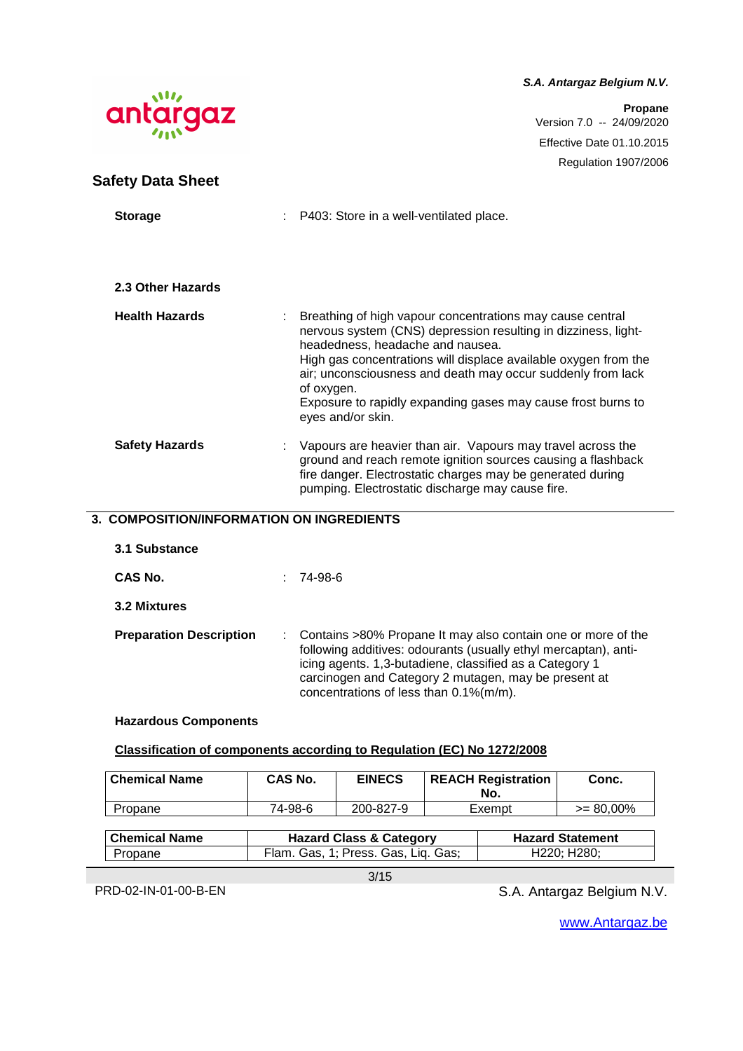**Propane** Version 7.0 -- 24/09/2020 Effective Date 01.10.2015 Regulation 1907/2006



#### **3. COMPOSITION/INFORMATION ON INGREDIENTS**

| 3.1 Substance                  |                                                                                                                                                                                                                                                                                                    |
|--------------------------------|----------------------------------------------------------------------------------------------------------------------------------------------------------------------------------------------------------------------------------------------------------------------------------------------------|
| CAS No.                        | 74-98-6                                                                                                                                                                                                                                                                                            |
| 3.2 Mixtures                   |                                                                                                                                                                                                                                                                                                    |
| <b>Preparation Description</b> | : Contains >80% Propane It may also contain one or more of the<br>following additives: odourants (usually ethyl mercaptan), anti-<br>icing agents. 1,3-butadiene, classified as a Category 1<br>carcinogen and Category 2 mutagen, may be present at<br>concentrations of less than $0.1\%(m/m)$ . |

#### **Hazardous Components**

#### **Classification of components according to Regulation (EC) No 1272/2008**

| <b>Chemical Name</b> | CAS No. | <b>EINECS</b> | <b>REACH Registration</b><br>No. | Conc.        |
|----------------------|---------|---------------|----------------------------------|--------------|
| Propane              | 74-98-6 | 200-827-9     | Exempt                           | $>= 80,00\%$ |

| l Chemical Name | <b>Hazard Class &amp; Category</b>  | <b>Hazard Statement</b> |
|-----------------|-------------------------------------|-------------------------|
| Propane         | Flam. Gas, 1; Press. Gas, Lig. Gas; | H220: H280:             |

3/15

PRD-02-IN-01-00-B-EN S.A. Antargaz Belgium N.V.

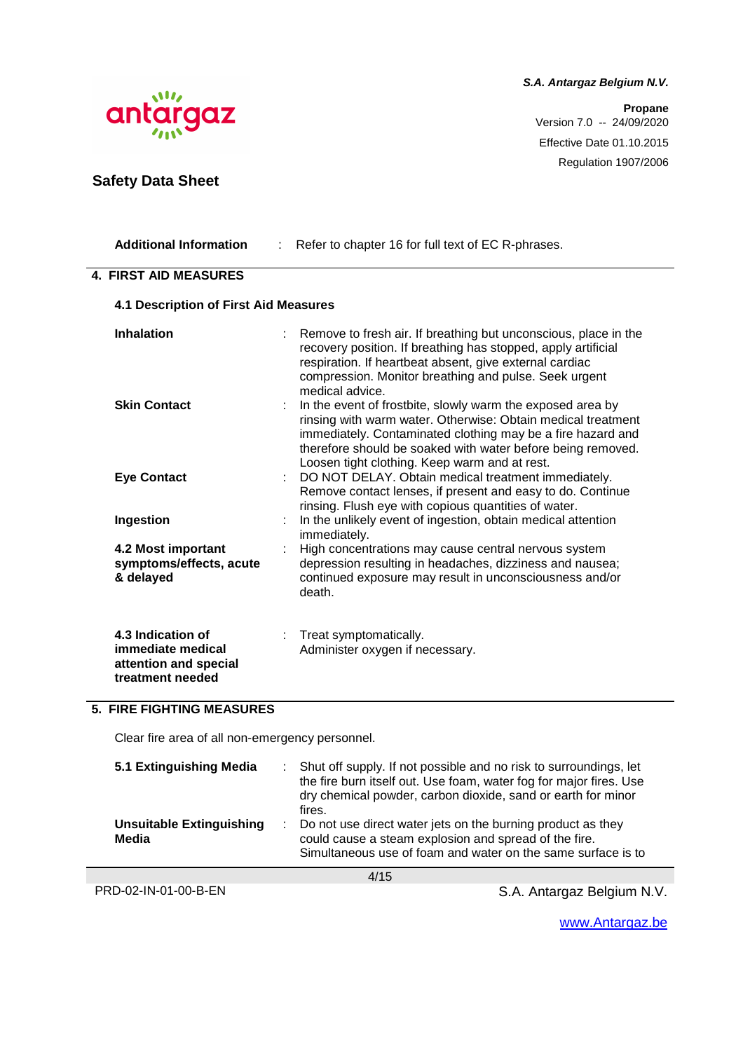

**Safety Data Sheet**

**S.A. Antargaz Belgium N.V.**

**Propane** Version 7.0 -- 24/09/2020 Effective Date 01.10.2015 Regulation 1907/2006

| <b>Additional Information</b>                                                       | Refer to chapter 16 for full text of EC R-phrases.                                                                                                                                                                                                                                                        |
|-------------------------------------------------------------------------------------|-----------------------------------------------------------------------------------------------------------------------------------------------------------------------------------------------------------------------------------------------------------------------------------------------------------|
| <b>4. FIRST AID MEASURES</b>                                                        |                                                                                                                                                                                                                                                                                                           |
| <b>4.1 Description of First Aid Measures</b>                                        |                                                                                                                                                                                                                                                                                                           |
| <b>Inhalation</b>                                                                   | Remove to fresh air. If breathing but unconscious, place in the<br>recovery position. If breathing has stopped, apply artificial<br>respiration. If heartbeat absent, give external cardiac<br>compression. Monitor breathing and pulse. Seek urgent<br>medical advice.                                   |
| <b>Skin Contact</b>                                                                 | In the event of frostbite, slowly warm the exposed area by<br>rinsing with warm water. Otherwise: Obtain medical treatment<br>immediately. Contaminated clothing may be a fire hazard and<br>therefore should be soaked with water before being removed.<br>Loosen tight clothing. Keep warm and at rest. |
| <b>Eye Contact</b>                                                                  | DO NOT DELAY. Obtain medical treatment immediately.<br>Remove contact lenses, if present and easy to do. Continue<br>rinsing. Flush eye with copious quantities of water.                                                                                                                                 |
| Ingestion                                                                           | In the unlikely event of ingestion, obtain medical attention<br>immediately.                                                                                                                                                                                                                              |
| 4.2 Most important<br>symptoms/effects, acute<br>& delayed                          | High concentrations may cause central nervous system<br>depression resulting in headaches, dizziness and nausea;<br>continued exposure may result in unconsciousness and/or<br>death.                                                                                                                     |
| 4.3 Indication of<br>immediate medical<br>attention and special<br>treatment needed | Treat symptomatically.<br>Administer oxygen if necessary.                                                                                                                                                                                                                                                 |

# **5. FIRE FIGHTING MEASURES**

Clear fire area of all non-emergency personnel.

| 5.1 Extinguishing Media                  | : Shut off supply. If not possible and no risk to surroundings, let<br>the fire burn itself out. Use foam, water fog for major fires. Use<br>dry chemical powder, carbon dioxide, sand or earth for minor<br>fires. |
|------------------------------------------|---------------------------------------------------------------------------------------------------------------------------------------------------------------------------------------------------------------------|
| <b>Unsuitable Extinguishing</b><br>Media | : Do not use direct water jets on the burning product as they<br>could cause a steam explosion and spread of the fire.<br>Simultaneous use of foam and water on the same surface is to                              |

4/15

PRD-02-IN-01-00-B-EN S.A. Antargaz Belgium N.V.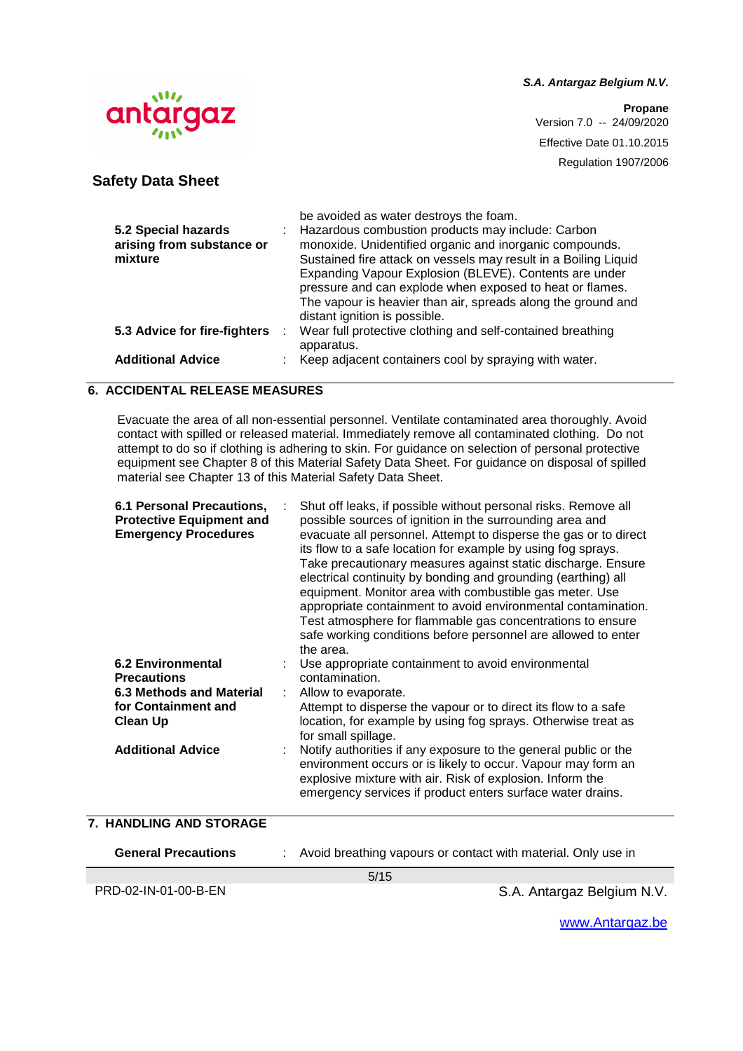**Propane** Version 7.0 -- 24/09/2020 Effective Date 01.10.2015 Regulation 1907/2006



**Safety Data Sheet**

|                              |   | be avoided as water destroys the foam.                          |
|------------------------------|---|-----------------------------------------------------------------|
| 5.2 Special hazards          |   | Hazardous combustion products may include: Carbon               |
| arising from substance or    |   | monoxide. Unidentified organic and inorganic compounds.         |
| mixture                      |   | Sustained fire attack on vessels may result in a Boiling Liquid |
|                              |   | Expanding Vapour Explosion (BLEVE). Contents are under          |
|                              |   | pressure and can explode when exposed to heat or flames.        |
|                              |   | The vapour is heavier than air, spreads along the ground and    |
|                              |   | distant ignition is possible.                                   |
| 5.3 Advice for fire-fighters | ÷ | Wear full protective clothing and self-contained breathing      |
|                              |   | apparatus.                                                      |
| <b>Additional Advice</b>     |   | Keep adjacent containers cool by spraying with water.           |

# **6. ACCIDENTAL RELEASE MEASURES**

Evacuate the area of all non-essential personnel. Ventilate contaminated area thoroughly. Avoid contact with spilled or released material. Immediately remove all contaminated clothing. Do not attempt to do so if clothing is adhering to skin. For guidance on selection of personal protective equipment see Chapter 8 of this Material Safety Data Sheet. For guidance on disposal of spilled material see Chapter 13 of this Material Safety Data Sheet.

| 6.1 Personal Precautions,<br><b>Protective Equipment and</b><br><b>Emergency Procedures</b><br><b>6.2 Environmental</b><br><b>Precautions</b><br><b>6.3 Methods and Material</b><br>for Containment and<br><b>Clean Up</b><br><b>Additional Advice</b> | Shut off leaks, if possible without personal risks. Remove all<br>possible sources of ignition in the surrounding area and<br>evacuate all personnel. Attempt to disperse the gas or to direct<br>its flow to a safe location for example by using fog sprays.<br>Take precautionary measures against static discharge. Ensure<br>electrical continuity by bonding and grounding (earthing) all<br>equipment. Monitor area with combustible gas meter. Use<br>appropriate containment to avoid environmental contamination.<br>Test atmosphere for flammable gas concentrations to ensure<br>safe working conditions before personnel are allowed to enter<br>the area.<br>Use appropriate containment to avoid environmental<br>contamination.<br>Allow to evaporate.<br>Attempt to disperse the vapour or to direct its flow to a safe<br>location, for example by using fog sprays. Otherwise treat as<br>for small spillage.<br>Notify authorities if any exposure to the general public or the<br>environment occurs or is likely to occur. Vapour may form an<br>explosive mixture with air. Risk of explosion. Inform the<br>emergency services if product enters surface water drains. |
|--------------------------------------------------------------------------------------------------------------------------------------------------------------------------------------------------------------------------------------------------------|------------------------------------------------------------------------------------------------------------------------------------------------------------------------------------------------------------------------------------------------------------------------------------------------------------------------------------------------------------------------------------------------------------------------------------------------------------------------------------------------------------------------------------------------------------------------------------------------------------------------------------------------------------------------------------------------------------------------------------------------------------------------------------------------------------------------------------------------------------------------------------------------------------------------------------------------------------------------------------------------------------------------------------------------------------------------------------------------------------------------------------------------------------------------------------------------|
| 7. HANDLING AND STORAGE                                                                                                                                                                                                                                |                                                                                                                                                                                                                                                                                                                                                                                                                                                                                                                                                                                                                                                                                                                                                                                                                                                                                                                                                                                                                                                                                                                                                                                                |
|                                                                                                                                                                                                                                                        |                                                                                                                                                                                                                                                                                                                                                                                                                                                                                                                                                                                                                                                                                                                                                                                                                                                                                                                                                                                                                                                                                                                                                                                                |
| <b>General Precautions</b>                                                                                                                                                                                                                             | Avoid breathing vapours or contact with material. Only use in<br>E/4E                                                                                                                                                                                                                                                                                                                                                                                                                                                                                                                                                                                                                                                                                                                                                                                                                                                                                                                                                                                                                                                                                                                          |
|                                                                                                                                                                                                                                                        |                                                                                                                                                                                                                                                                                                                                                                                                                                                                                                                                                                                                                                                                                                                                                                                                                                                                                                                                                                                                                                                                                                                                                                                                |

5/15

PRD-02-IN-01-00-B-EN S.A. Antargaz Belgium N.V.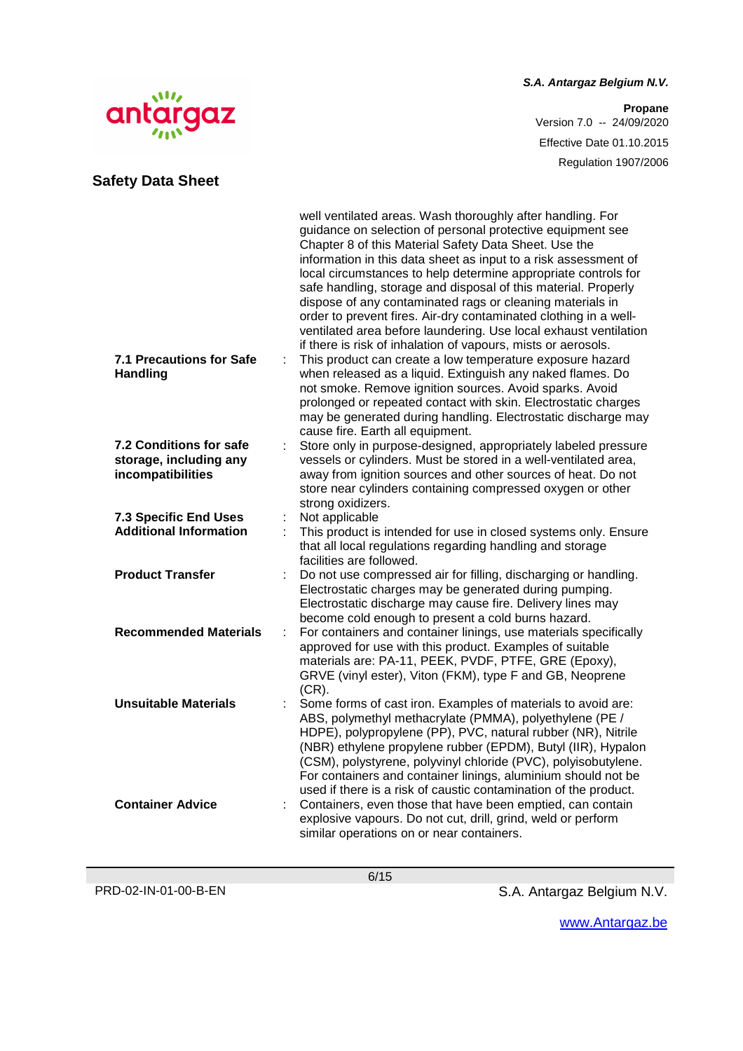# $\mathcal{M}$ antargaz

# **Safety Data Sheet**

**S.A. Antargaz Belgium N.V.**

**Propane** Version 7.0 -- 24/09/2020 Effective Date 01.10.2015 Regulation 1907/2006

| <b>7.1 Precautions for Safe</b><br><b>Handling</b>            |   | well ventilated areas. Wash thoroughly after handling. For<br>guidance on selection of personal protective equipment see<br>Chapter 8 of this Material Safety Data Sheet. Use the<br>information in this data sheet as input to a risk assessment of<br>local circumstances to help determine appropriate controls for<br>safe handling, storage and disposal of this material. Properly<br>dispose of any contaminated rags or cleaning materials in<br>order to prevent fires. Air-dry contaminated clothing in a well-<br>ventilated area before laundering. Use local exhaust ventilation<br>if there is risk of inhalation of vapours, mists or aerosols.<br>This product can create a low temperature exposure hazard<br>when released as a liquid. Extinguish any naked flames. Do<br>not smoke. Remove ignition sources. Avoid sparks. Avoid<br>prolonged or repeated contact with skin. Electrostatic charges<br>may be generated during handling. Electrostatic discharge may |
|---------------------------------------------------------------|---|-----------------------------------------------------------------------------------------------------------------------------------------------------------------------------------------------------------------------------------------------------------------------------------------------------------------------------------------------------------------------------------------------------------------------------------------------------------------------------------------------------------------------------------------------------------------------------------------------------------------------------------------------------------------------------------------------------------------------------------------------------------------------------------------------------------------------------------------------------------------------------------------------------------------------------------------------------------------------------------------|
| <b>7.2 Conditions for safe</b>                                |   | cause fire. Earth all equipment.<br>Store only in purpose-designed, appropriately labeled pressure                                                                                                                                                                                                                                                                                                                                                                                                                                                                                                                                                                                                                                                                                                                                                                                                                                                                                      |
| storage, including any<br>incompatibilities                   |   | vessels or cylinders. Must be stored in a well-ventilated area,<br>away from ignition sources and other sources of heat. Do not<br>store near cylinders containing compressed oxygen or other<br>strong oxidizers.                                                                                                                                                                                                                                                                                                                                                                                                                                                                                                                                                                                                                                                                                                                                                                      |
| <b>7.3 Specific End Uses</b><br><b>Additional Information</b> |   | Not applicable<br>This product is intended for use in closed systems only. Ensure                                                                                                                                                                                                                                                                                                                                                                                                                                                                                                                                                                                                                                                                                                                                                                                                                                                                                                       |
|                                                               |   | that all local regulations regarding handling and storage<br>facilities are followed.                                                                                                                                                                                                                                                                                                                                                                                                                                                                                                                                                                                                                                                                                                                                                                                                                                                                                                   |
| <b>Product Transfer</b>                                       |   | Do not use compressed air for filling, discharging or handling.<br>Electrostatic charges may be generated during pumping.<br>Electrostatic discharge may cause fire. Delivery lines may<br>become cold enough to present a cold burns hazard.                                                                                                                                                                                                                                                                                                                                                                                                                                                                                                                                                                                                                                                                                                                                           |
| <b>Recommended Materials</b>                                  | ÷ | For containers and container linings, use materials specifically<br>approved for use with this product. Examples of suitable<br>materials are: PA-11, PEEK, PVDF, PTFE, GRE (Epoxy),<br>GRVE (vinyl ester), Viton (FKM), type F and GB, Neoprene<br>$(CR)$ .                                                                                                                                                                                                                                                                                                                                                                                                                                                                                                                                                                                                                                                                                                                            |
| <b>Unsuitable Materials</b>                                   |   | Some forms of cast iron. Examples of materials to avoid are:<br>ABS, polymethyl methacrylate (PMMA), polyethylene (PE /<br>HDPE), polypropylene (PP), PVC, natural rubber (NR), Nitrile<br>(NBR) ethylene propylene rubber (EPDM), Butyl (IIR), Hypalon<br>(CSM), polystyrene, polyvinyl chloride (PVC), polyisobutylene.                                                                                                                                                                                                                                                                                                                                                                                                                                                                                                                                                                                                                                                               |
| <b>Container Advice</b>                                       |   | For containers and container linings, aluminium should not be<br>used if there is a risk of caustic contamination of the product.<br>Containers, even those that have been emptied, can contain<br>explosive vapours. Do not cut, drill, grind, weld or perform<br>similar operations on or near containers.                                                                                                                                                                                                                                                                                                                                                                                                                                                                                                                                                                                                                                                                            |

6/15

PRD-02-IN-01-00-B-EN S.A. Antargaz Belgium N.V.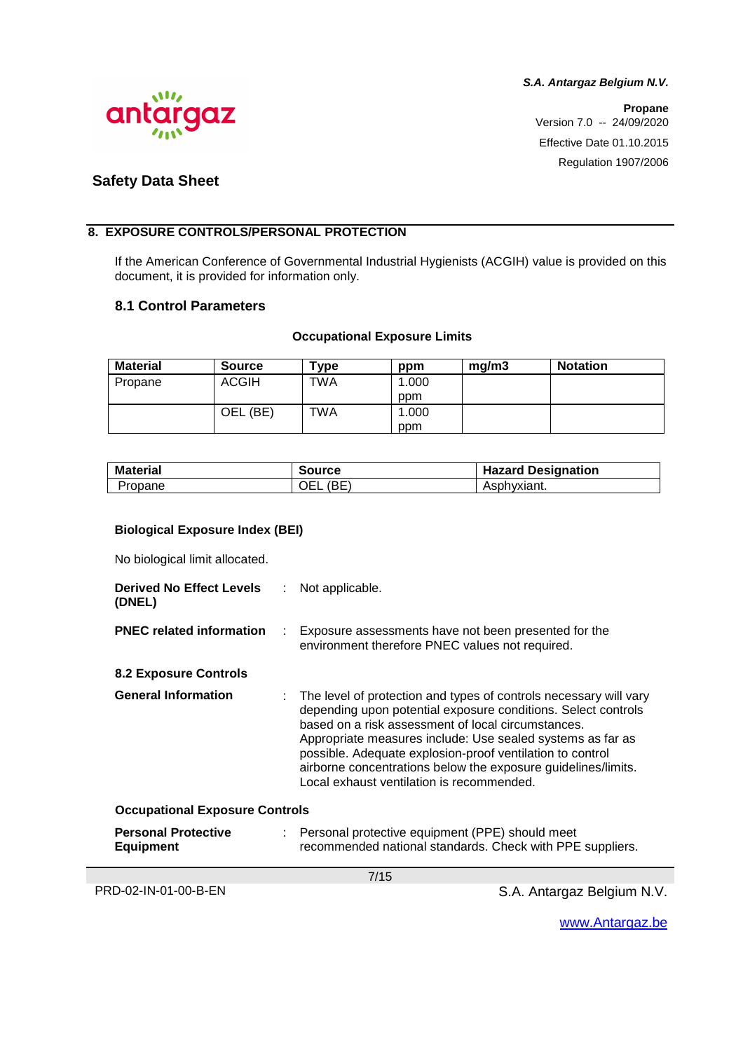

**Propane** Version 7.0 -- 24/09/2020 Effective Date 01.10.2015 Regulation 1907/2006

# **Safety Data Sheet**

#### **8. EXPOSURE CONTROLS/PERSONAL PROTECTION**

If the American Conference of Governmental Industrial Hygienists (ACGIH) value is provided on this document, it is provided for information only.

#### **8.1 Control Parameters**

#### **Occupational Exposure Limits**

| <b>Material</b> | <b>Source</b> | $T$ ype    | ppm   | mg/m3 | <b>Notation</b> |
|-----------------|---------------|------------|-------|-------|-----------------|
| Propane         | <b>ACGIH</b>  | <b>TWA</b> | .000  |       |                 |
|                 |               |            | ppm   |       |                 |
|                 | (BE)<br>OEL.  | TWA        | 0.000 |       |                 |
|                 |               |            | ppm   |       |                 |

| <b>Material</b> | <b>Source</b> | <b>Hazard Designation</b> |
|-----------------|---------------|---------------------------|
| Propane         | (BE<br>OEL    | Asphyxiant.               |

#### **Biological Exposure Index (BEI)**

No biological limit allocated.

| <b>Derived No Effect Levels</b><br>(DNEL)      | ÷. | Not applicable.                                                                                                                                                                                                                                                                                                                                                                                                                   |  |
|------------------------------------------------|----|-----------------------------------------------------------------------------------------------------------------------------------------------------------------------------------------------------------------------------------------------------------------------------------------------------------------------------------------------------------------------------------------------------------------------------------|--|
| <b>PNEC related information</b>                |    | Exposure assessments have not been presented for the<br>environment therefore PNEC values not required.                                                                                                                                                                                                                                                                                                                           |  |
| <b>8.2 Exposure Controls</b>                   |    |                                                                                                                                                                                                                                                                                                                                                                                                                                   |  |
| <b>General Information</b>                     |    | The level of protection and types of controls necessary will vary<br>depending upon potential exposure conditions. Select controls<br>based on a risk assessment of local circumstances.<br>Appropriate measures include: Use sealed systems as far as<br>possible. Adequate explosion-proof ventilation to control<br>airborne concentrations below the exposure guidelines/limits.<br>Local exhaust ventilation is recommended. |  |
| <b>Occupational Exposure Controls</b>          |    |                                                                                                                                                                                                                                                                                                                                                                                                                                   |  |
| <b>Personal Protective</b><br><b>Equipment</b> | ÷. | Personal protective equipment (PPE) should meet<br>recommended national standards. Check with PPE suppliers.                                                                                                                                                                                                                                                                                                                      |  |

7/15

PRD-02-IN-01-00-B-EN S.A. Antargaz Belgium N.V.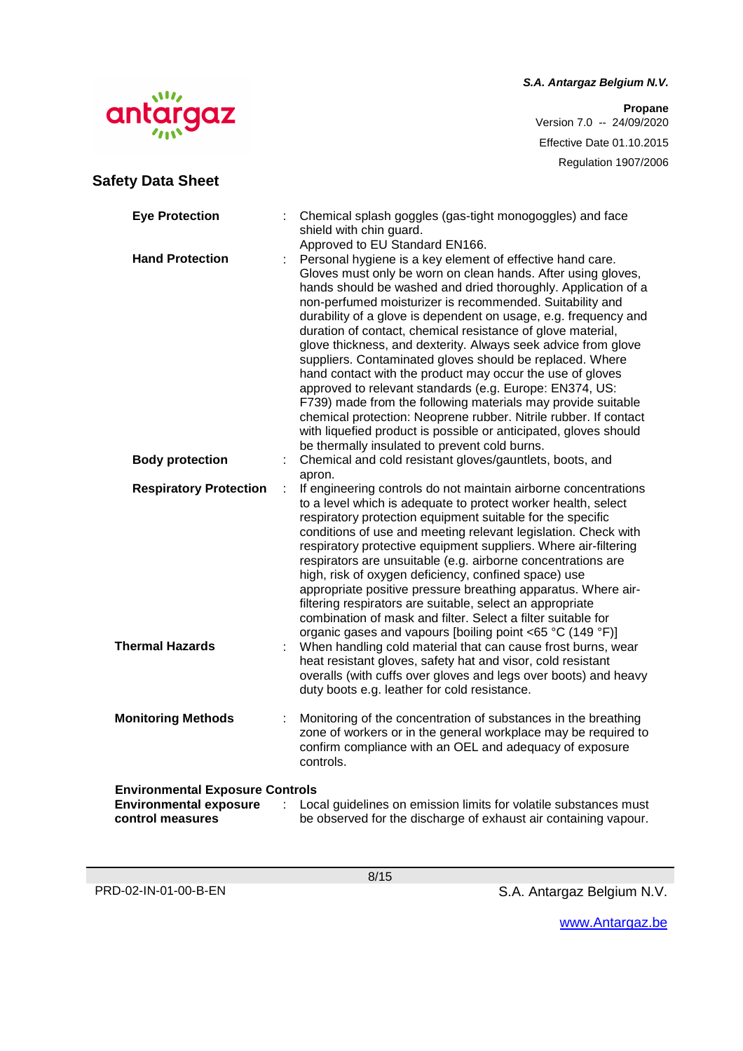**Propane** Version 7.0 -- 24/09/2020 Effective Date 01.10.2015 Regulation 1907/2006

# Wh antargaz

**Safety Data Sheet**

| <b>Eye Protection</b>                                                                       |   | Chemical splash goggles (gas-tight monogoggles) and face<br>shield with chin guard.                                                                                                                                                                                                                                                                                                                                                                                                                                                                                                                                                                                                                                                                                                                                                                                                                                                      |
|---------------------------------------------------------------------------------------------|---|------------------------------------------------------------------------------------------------------------------------------------------------------------------------------------------------------------------------------------------------------------------------------------------------------------------------------------------------------------------------------------------------------------------------------------------------------------------------------------------------------------------------------------------------------------------------------------------------------------------------------------------------------------------------------------------------------------------------------------------------------------------------------------------------------------------------------------------------------------------------------------------------------------------------------------------|
| <b>Hand Protection</b>                                                                      |   | Approved to EU Standard EN166.<br>Personal hygiene is a key element of effective hand care.<br>Gloves must only be worn on clean hands. After using gloves,<br>hands should be washed and dried thoroughly. Application of a<br>non-perfumed moisturizer is recommended. Suitability and<br>durability of a glove is dependent on usage, e.g. frequency and<br>duration of contact, chemical resistance of glove material,<br>glove thickness, and dexterity. Always seek advice from glove<br>suppliers. Contaminated gloves should be replaced. Where<br>hand contact with the product may occur the use of gloves<br>approved to relevant standards (e.g. Europe: EN374, US:<br>F739) made from the following materials may provide suitable<br>chemical protection: Neoprene rubber. Nitrile rubber. If contact<br>with liquefied product is possible or anticipated, gloves should<br>be thermally insulated to prevent cold burns. |
| <b>Body protection</b>                                                                      | t | Chemical and cold resistant gloves/gauntlets, boots, and                                                                                                                                                                                                                                                                                                                                                                                                                                                                                                                                                                                                                                                                                                                                                                                                                                                                                 |
| <b>Respiratory Protection</b>                                                               | t | apron.<br>If engineering controls do not maintain airborne concentrations<br>to a level which is adequate to protect worker health, select<br>respiratory protection equipment suitable for the specific<br>conditions of use and meeting relevant legislation. Check with<br>respiratory protective equipment suppliers. Where air-filtering<br>respirators are unsuitable (e.g. airborne concentrations are<br>high, risk of oxygen deficiency, confined space) use<br>appropriate positive pressure breathing apparatus. Where air-<br>filtering respirators are suitable, select an appropriate<br>combination of mask and filter. Select a filter suitable for<br>organic gases and vapours [boiling point <65 °C (149 °F)]                                                                                                                                                                                                         |
| <b>Thermal Hazards</b>                                                                      |   | When handling cold material that can cause frost burns, wear<br>heat resistant gloves, safety hat and visor, cold resistant<br>overalls (with cuffs over gloves and legs over boots) and heavy<br>duty boots e.g. leather for cold resistance.                                                                                                                                                                                                                                                                                                                                                                                                                                                                                                                                                                                                                                                                                           |
| <b>Monitoring Methods</b>                                                                   | ÷ | Monitoring of the concentration of substances in the breathing<br>zone of workers or in the general workplace may be required to<br>confirm compliance with an OEL and adequacy of exposure<br>controls.                                                                                                                                                                                                                                                                                                                                                                                                                                                                                                                                                                                                                                                                                                                                 |
| <b>Environmental Exposure Controls</b><br><b>Environmental exposure</b><br>control measures |   | Local guidelines on emission limits for volatile substances must<br>be observed for the discharge of exhaust air containing vapour.                                                                                                                                                                                                                                                                                                                                                                                                                                                                                                                                                                                                                                                                                                                                                                                                      |

8/15

PRD-02-IN-01-00-B-EN S.A. Antargaz Belgium N.V.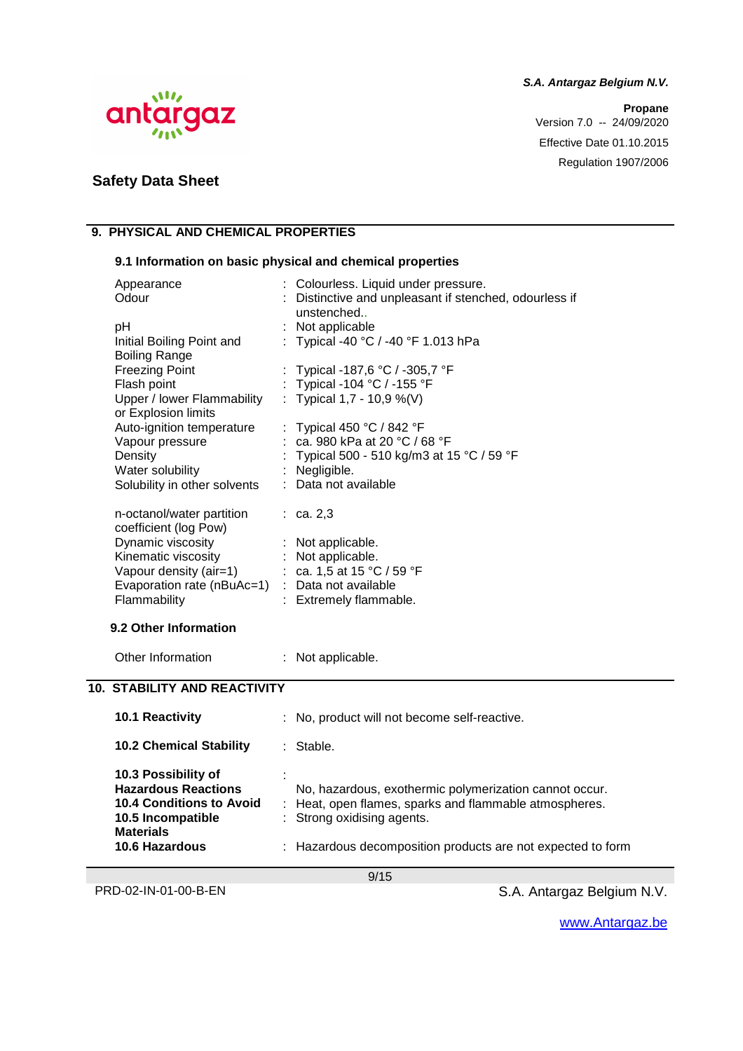**Propane** Version 7.0 -- 24/09/2020 Effective Date 01.10.2015 Regulation 1907/2006



# **Safety Data Sheet**

# **9. PHYSICAL AND CHEMICAL PROPERTIES**

#### **9.1 Information on basic physical and chemical properties**

| Appearance<br>Odour<br>pH<br>Initial Boiling Point and<br><b>Boiling Range</b>                                                                                                                           | Colourless. Liquid under pressure.<br>: Distinctive and unpleasant if stenched, odourless if<br>unstenched<br>Not applicable<br>Typical -40 °C / -40 °F 1.013 hPa                                                                                                 |
|----------------------------------------------------------------------------------------------------------------------------------------------------------------------------------------------------------|-------------------------------------------------------------------------------------------------------------------------------------------------------------------------------------------------------------------------------------------------------------------|
| <b>Freezing Point</b><br>Flash point<br>Upper / lower Flammability<br>or Explosion limits<br>Auto-ignition temperature<br>Vapour pressure<br>Density<br>Water solubility<br>Solubility in other solvents | Typical -187,6 °C / -305,7 °F<br>: Typical -104 °C / -155 °F<br>: Typical 1,7 - 10,9 %(V)<br>Typical 450 $^{\circ}$ C / 842 $^{\circ}$ F<br>: ca. 980 kPa at 20 °C / 68 °F<br>: Typical 500 - 510 kg/m3 at 15 °C / 59 °F<br>: Negligible.<br>: Data not available |
| n-octanol/water partition<br>coefficient (log Pow)<br>Dynamic viscosity<br>Kinematic viscosity<br>Vapour density (air=1)<br>Evaporation rate (nBuAc=1) : Data not available<br>Flammability              | : ca. 2, 3<br>: Not applicable.<br>: Not applicable.<br>: ca. 1,5 at 15 °C / 59 °F<br>: Extremely flammable.                                                                                                                                                      |
| 9.2 Other Information                                                                                                                                                                                    |                                                                                                                                                                                                                                                                   |
| Other Information                                                                                                                                                                                        | : Not applicable.                                                                                                                                                                                                                                                 |
| <b>10. STABILITY AND REACTIVITY</b>                                                                                                                                                                      |                                                                                                                                                                                                                                                                   |
| 10.1 Reactivity                                                                                                                                                                                          | No, product will not become self-reactive.                                                                                                                                                                                                                        |
| <b>10.2 Chemical Stability</b>                                                                                                                                                                           | : Stable.                                                                                                                                                                                                                                                         |
| 10.3 Possibility of<br><b>Hazardous Reactions</b><br><b>10.4 Conditions to Avoid</b><br>10.5 Incompatible<br><b>Materials</b>                                                                            | No, hazardous, exothermic polymerization cannot occur.<br>: Heat, open flames, sparks and flammable atmospheres.<br>: Strong oxidising agents.                                                                                                                    |
| <b>10.6 Hazardous</b>                                                                                                                                                                                    | : Hazardous decomposition products are not expected to form                                                                                                                                                                                                       |

9/15

PRD-02-IN-01-00-B-EN S.A. Antargaz Belgium N.V.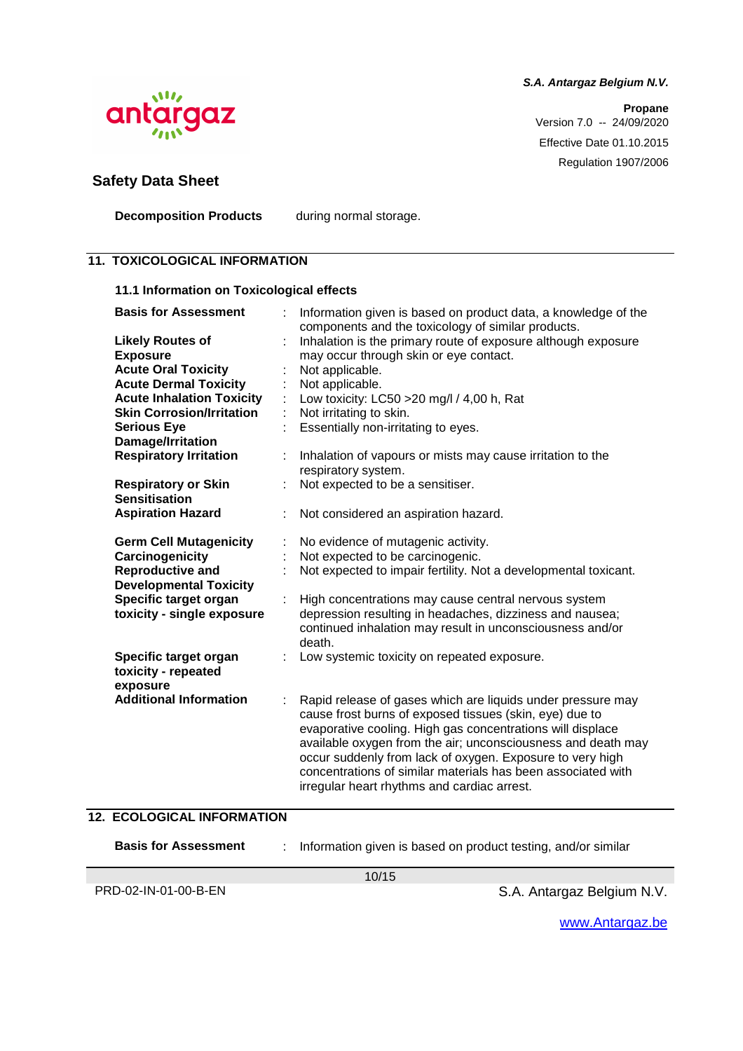**Propane** Version 7.0 -- 24/09/2020 Effective Date 01.10.2015 Regulation 1907/2006



# **Safety Data Sheet**

**Decomposition Products** during normal storage.

### **11. TOXICOLOGICAL INFORMATION**

#### **11.1 Information on Toxicological effects**

| <b>Basis for Assessment</b>       | Information given is based on product data, a knowledge of the<br>components and the toxicology of similar products. |
|-----------------------------------|----------------------------------------------------------------------------------------------------------------------|
| <b>Likely Routes of</b>           | Inhalation is the primary route of exposure although exposure                                                        |
| <b>Exposure</b>                   | may occur through skin or eye contact.                                                                               |
|                                   |                                                                                                                      |
| <b>Acute Oral Toxicity</b>        | Not applicable.                                                                                                      |
| <b>Acute Dermal Toxicity</b>      | Not applicable.                                                                                                      |
| <b>Acute Inhalation Toxicity</b>  | Low toxicity: LC50 > 20 mg/l / 4,00 h, Rat                                                                           |
| <b>Skin Corrosion/Irritation</b>  | Not irritating to skin.                                                                                              |
| <b>Serious Eye</b>                | Essentially non-irritating to eyes.                                                                                  |
| Damage/Irritation                 |                                                                                                                      |
| <b>Respiratory Irritation</b>     | Inhalation of vapours or mists may cause irritation to the                                                           |
|                                   | respiratory system.                                                                                                  |
| <b>Respiratory or Skin</b>        | Not expected to be a sensitiser.                                                                                     |
| <b>Sensitisation</b>              |                                                                                                                      |
| <b>Aspiration Hazard</b>          | Not considered an aspiration hazard.                                                                                 |
|                                   |                                                                                                                      |
| <b>Germ Cell Mutagenicity</b>     | No evidence of mutagenic activity.                                                                                   |
| Carcinogenicity                   | Not expected to be carcinogenic.                                                                                     |
| <b>Reproductive and</b>           | Not expected to impair fertility. Not a developmental toxicant.                                                      |
| <b>Developmental Toxicity</b>     |                                                                                                                      |
| Specific target organ             | High concentrations may cause central nervous system                                                                 |
| toxicity - single exposure        | depression resulting in headaches, dizziness and nausea;                                                             |
|                                   | continued inhalation may result in unconsciousness and/or                                                            |
|                                   | death.                                                                                                               |
| Specific target organ             | Low systemic toxicity on repeated exposure.                                                                          |
| toxicity - repeated               |                                                                                                                      |
| exposure                          |                                                                                                                      |
| <b>Additional Information</b>     | Rapid release of gases which are liquids under pressure may                                                          |
|                                   | cause frost burns of exposed tissues (skin, eye) due to                                                              |
|                                   | evaporative cooling. High gas concentrations will displace                                                           |
|                                   | available oxygen from the air; unconsciousness and death may                                                         |
|                                   | occur suddenly from lack of oxygen. Exposure to very high                                                            |
|                                   | concentrations of similar materials has been associated with                                                         |
|                                   | irregular heart rhythms and cardiac arrest.                                                                          |
|                                   |                                                                                                                      |
| <b>12. ECOLOGICAL INFORMATION</b> |                                                                                                                      |
|                                   |                                                                                                                      |
| <b>Basis for Assessment</b>       | Information given is based on product testing, and/or similar                                                        |
|                                   |                                                                                                                      |

10/15

PRD-02-IN-01-00-B-EN S.A. Antargaz Belgium N.V.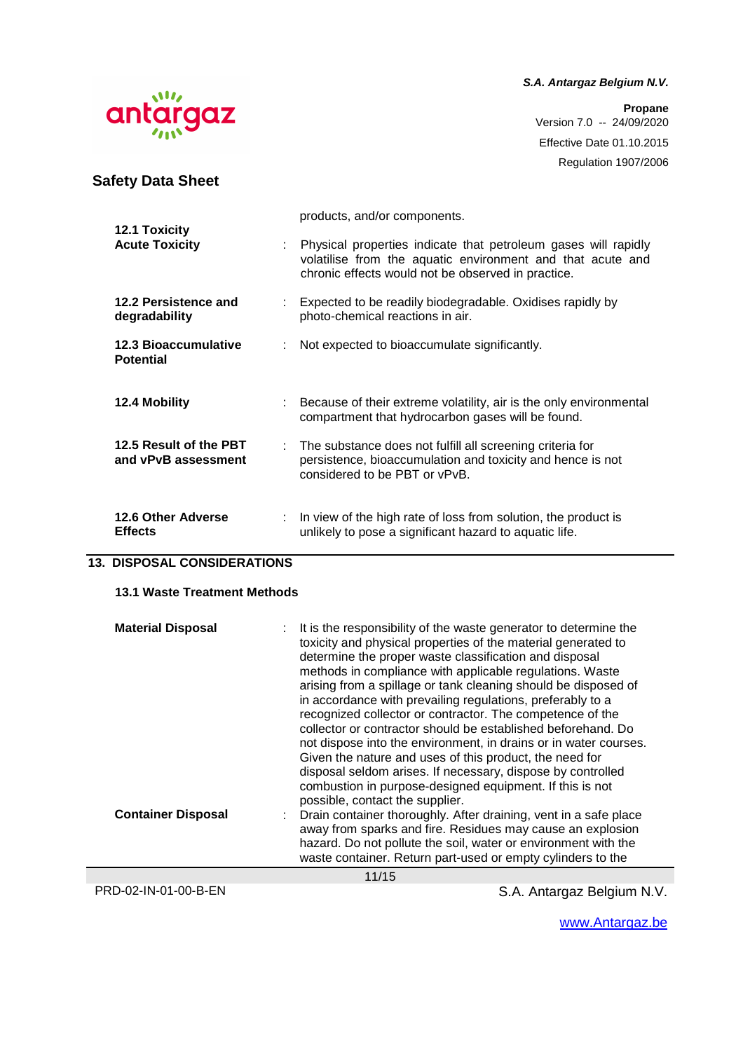**Propane** Version 7.0 -- 24/09/2020 Effective Date 01.10.2015 Regulation 1907/2006

| W |          |  |
|---|----------|--|
|   | antargaz |  |
|   |          |  |

**Safety Data Sheet**

#### products, and/or components. **12.1 Toxicity Acute Toxicity** : Physical properties indicate that petroleum gases will rapidly volatilise from the aquatic environment and that acute and chronic effects would not be observed in practice. **12.2 Persistence and degradability**  : Expected to be readily biodegradable. Oxidises rapidly by photo-chemical reactions in air. **12.3 Bioaccumulative Potential**  : Not expected to bioaccumulate significantly. **12.4 Mobility** : Because of their extreme volatility, air is the only environmental compartment that hydrocarbon gases will be found. **12.5 Result of the PBT and vPvB assessment**  : The substance does not fulfill all screening criteria for persistence, bioaccumulation and toxicity and hence is not considered to be PBT or vPvB. **12.6 Other Adverse Effects** : In view of the high rate of loss from solution, the product is unlikely to pose a significant hazard to aquatic life.

#### **13. DISPOSAL CONSIDERATIONS**

#### **13.1 Waste Treatment Methods**

| <b>Material Disposal</b><br><b>Container Disposal</b> | It is the responsibility of the waste generator to determine the<br>toxicity and physical properties of the material generated to<br>determine the proper waste classification and disposal<br>methods in compliance with applicable regulations. Waste<br>arising from a spillage or tank cleaning should be disposed of<br>in accordance with prevailing regulations, preferably to a<br>recognized collector or contractor. The competence of the<br>collector or contractor should be established beforehand. Do<br>not dispose into the environment, in drains or in water courses.<br>Given the nature and uses of this product, the need for<br>disposal seldom arises. If necessary, dispose by controlled<br>combustion in purpose-designed equipment. If this is not<br>possible, contact the supplier. |
|-------------------------------------------------------|-------------------------------------------------------------------------------------------------------------------------------------------------------------------------------------------------------------------------------------------------------------------------------------------------------------------------------------------------------------------------------------------------------------------------------------------------------------------------------------------------------------------------------------------------------------------------------------------------------------------------------------------------------------------------------------------------------------------------------------------------------------------------------------------------------------------|
|                                                       | Drain container thoroughly. After draining, vent in a safe place<br>away from sparks and fire. Residues may cause an explosion<br>hazard. Do not pollute the soil, water or environment with the<br>waste container. Return part-used or empty cylinders to the                                                                                                                                                                                                                                                                                                                                                                                                                                                                                                                                                   |
|                                                       | 11/15                                                                                                                                                                                                                                                                                                                                                                                                                                                                                                                                                                                                                                                                                                                                                                                                             |

PRD-02-IN-01-00-B-EN S.A. Antargaz Belgium N.V.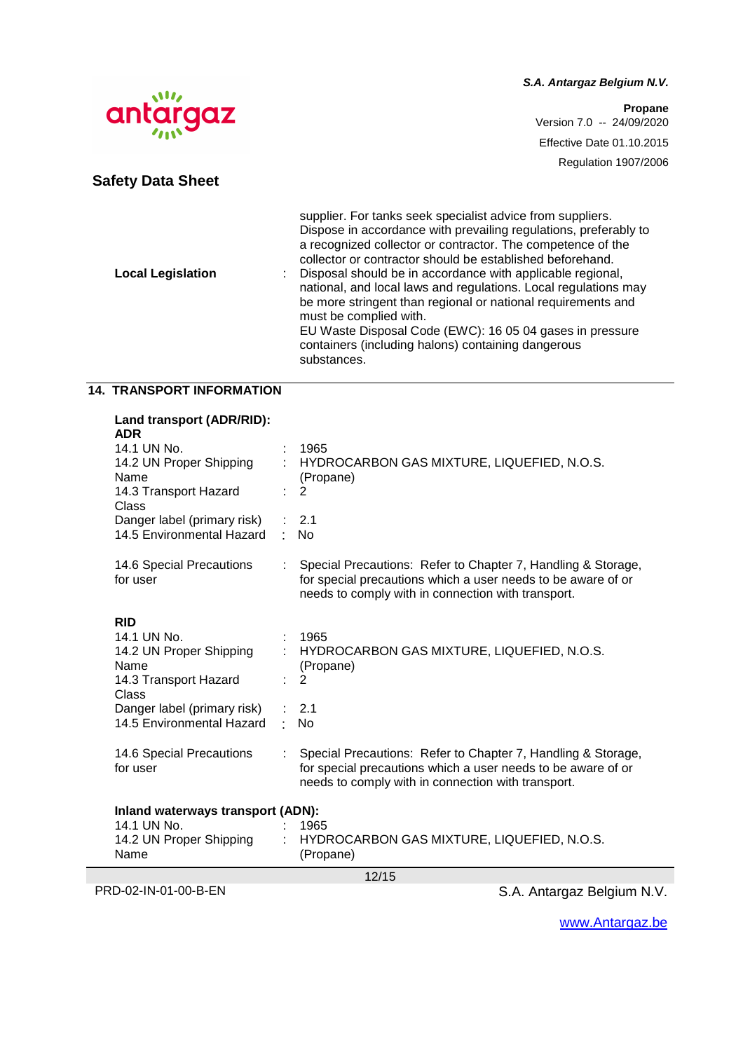**Propane** Version 7.0 -- 24/09/2020 Effective Date 01.10.2015 Regulation 1907/2006



# **Safety Data Sheet**

| <b>Local Legislation</b> | supplier. For tanks seek specialist advice from suppliers.<br>Dispose in accordance with prevailing regulations, preferably to<br>a recognized collector or contractor. The competence of the<br>collector or contractor should be established beforehand.<br>Disposal should be in accordance with applicable regional,<br>national, and local laws and regulations. Local regulations may<br>be more stringent than regional or national requirements and<br>must be complied with.<br>EU Waste Disposal Code (EWC): 16 05 04 gases in pressure<br>containers (including halons) containing dangerous |
|--------------------------|---------------------------------------------------------------------------------------------------------------------------------------------------------------------------------------------------------------------------------------------------------------------------------------------------------------------------------------------------------------------------------------------------------------------------------------------------------------------------------------------------------------------------------------------------------------------------------------------------------|
|                          | substances.                                                                                                                                                                                                                                                                                                                                                                                                                                                                                                                                                                                             |

# **14. TRANSPORT INFORMATION**

| Land transport (ADR/RID):<br><b>ADR</b>                                                               |        |                                                                                                                                                                                    |  |
|-------------------------------------------------------------------------------------------------------|--------|------------------------------------------------------------------------------------------------------------------------------------------------------------------------------------|--|
| 14.1 UN No.<br>14.2 UN Proper Shipping<br>Name<br>14.3 Transport Hazard<br>Class                      |        | 1965<br>HYDROCARBON GAS MIXTURE, LIQUEFIED, N.O.S.<br>(Propane)<br>2                                                                                                               |  |
| Danger label (primary risk)<br>14.5 Environmental Hazard                                              | $\sim$ | 2.1<br><b>No</b>                                                                                                                                                                   |  |
| 14.6 Special Precautions<br>for user                                                                  |        | Special Precautions: Refer to Chapter 7, Handling & Storage,<br>for special precautions which a user needs to be aware of or<br>needs to comply with in connection with transport. |  |
| <b>RID</b><br>14.1 UN No.<br>14.2 UN Proper Shipping<br>Name<br>14.3 Transport Hazard<br><b>Class</b> |        | 1965<br>HYDROCARBON GAS MIXTURE, LIQUEFIED, N.O.S.<br>(Propane)<br>$\overline{2}$                                                                                                  |  |
| Danger label (primary risk)<br>14.5 Environmental Hazard                                              | к.     | 2.1<br><b>No</b>                                                                                                                                                                   |  |
| 14.6 Special Precautions<br>for user                                                                  |        | Special Precautions: Refer to Chapter 7, Handling & Storage,<br>for special precautions which a user needs to be aware of or<br>needs to comply with in connection with transport. |  |
| Inland waterways transport (ADN):                                                                     |        |                                                                                                                                                                                    |  |
| 14.1 UN No.<br>14.2 UN Proper Shipping<br>Name                                                        |        | 1965<br>HYDROCARBON GAS MIXTURE, LIQUEFIED, N.O.S.<br>(Propane)                                                                                                                    |  |
| 12/15                                                                                                 |        |                                                                                                                                                                                    |  |

PRD-02-IN-01-00-B-EN S.A. Antargaz Belgium N.V.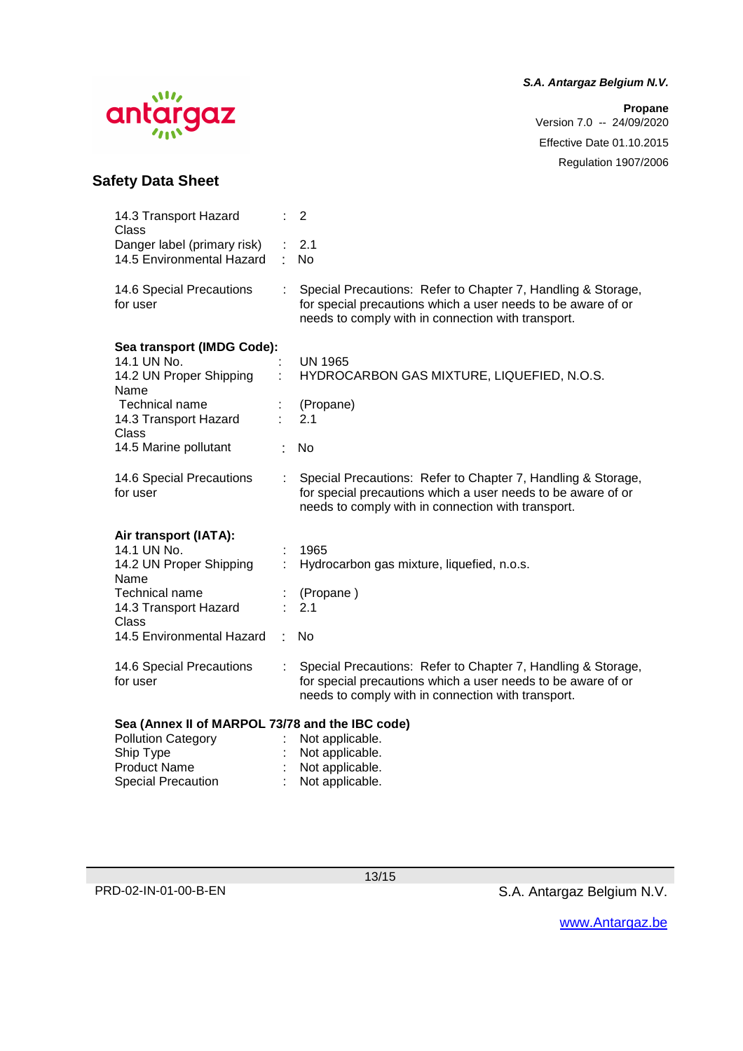# $\mathbf{M}$ antargaz

#### **S.A. Antargaz Belgium N.V.**

**Propane** Version 7.0 -- 24/09/2020 Effective Date 01.10.2015 Regulation 1907/2006

# **Safety Data Sheet**

| 14.3 Transport Hazard<br>Class                           |    | 2                                                                                                                                                                                  |
|----------------------------------------------------------|----|------------------------------------------------------------------------------------------------------------------------------------------------------------------------------------|
| Danger label (primary risk)<br>14.5 Environmental Hazard | ۰  | 2.1<br>No                                                                                                                                                                          |
| 14.6 Special Precautions<br>for user                     |    | Special Precautions: Refer to Chapter 7, Handling & Storage,<br>for special precautions which a user needs to be aware of or<br>needs to comply with in connection with transport. |
| Sea transport (IMDG Code):                               |    |                                                                                                                                                                                    |
| 14.1 UN No.                                              |    | <b>UN 1965</b>                                                                                                                                                                     |
| 14.2 UN Proper Shipping                                  |    | HYDROCARBON GAS MIXTURE, LIQUEFIED, N.O.S.                                                                                                                                         |
| Name                                                     |    |                                                                                                                                                                                    |
| Technical name                                           |    | (Propane)<br>2.1                                                                                                                                                                   |
| 14.3 Transport Hazard<br>Class                           |    |                                                                                                                                                                                    |
| 14.5 Marine pollutant                                    |    | No                                                                                                                                                                                 |
| 14.6 Special Precautions<br>for user                     |    | Special Precautions: Refer to Chapter 7, Handling & Storage,<br>for special precautions which a user needs to be aware of or<br>needs to comply with in connection with transport. |
| Air transport (IATA):                                    |    |                                                                                                                                                                                    |
| 14.1 UN No.                                              |    | 1965                                                                                                                                                                               |
| 14.2 UN Proper Shipping<br>Name                          |    | Hydrocarbon gas mixture, liquefied, n.o.s.                                                                                                                                         |
| Technical name                                           |    | (Propane)                                                                                                                                                                          |
| 14.3 Transport Hazard                                    |    | 2.1                                                                                                                                                                                |
| Class                                                    |    |                                                                                                                                                                                    |
| 14.5 Environmental Hazard                                | ۰. | No                                                                                                                                                                                 |
| 14.6 Special Precautions<br>for user                     |    | Special Precautions: Refer to Chapter 7, Handling & Storage,<br>for special precautions which a user needs to be aware of or<br>needs to comply with in connection with transport. |
| Sea (Annex II of MARPOL 73/78 and the IBC code)          |    |                                                                                                                                                                                    |
| <b>Pollution Category</b>                                |    | Not applicable.                                                                                                                                                                    |
| Ship Type                                                |    | Not applicable.                                                                                                                                                                    |

Product Name : Not applicable. Special Precaution : Not applicable.

13/15

PRD-02-IN-01-00-B-EN S.A. Antargaz Belgium N.V.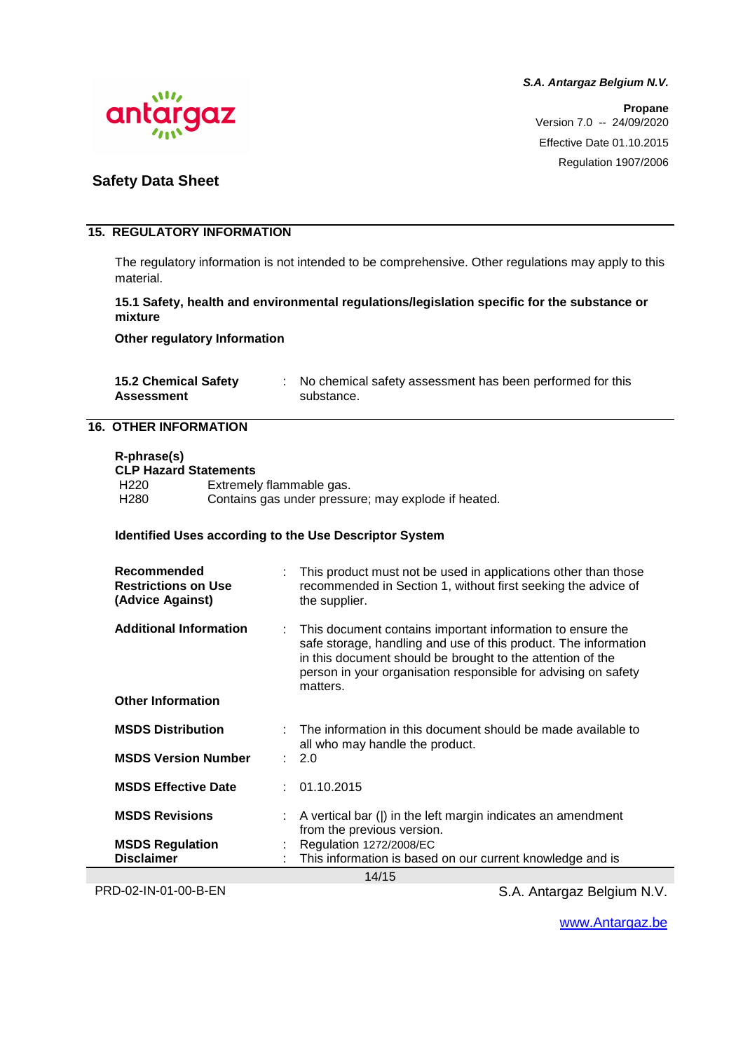

**Propane** Version 7.0 -- 24/09/2020 Effective Date 01.10.2015 Regulation 1907/2006

### **Safety Data Sheet**

#### **15. REGULATORY INFORMATION**

The regulatory information is not intended to be comprehensive. Other regulations may apply to this material.

#### **15.1 Safety, health and environmental regulations/legislation specific for the substance or mixture**

**Other regulatory Information** 

| <b>15.2 Chemical Safety</b> | No chemical safety assessment has been performed for this |
|-----------------------------|-----------------------------------------------------------|
| <b>Assessment</b>           | substance.                                                |

#### **16. OTHER INFORMATION**

| R-phrase(s)              |  |
|--------------------------|--|
| $21.711 - 2.121 - 2.121$ |  |

| <b>CLP Hazard Statements</b> |                                                     |  |  |
|------------------------------|-----------------------------------------------------|--|--|
| H <sub>220</sub>             | Extremely flammable gas.                            |  |  |
| H <sub>280</sub>             | Contains gas under pressure; may explode if heated. |  |  |

#### **Identified Uses according to the Use Descriptor System**

| Recommended<br><b>Restrictions on Use</b><br>(Advice Against) |    | This product must not be used in applications other than those<br>recommended in Section 1, without first seeking the advice of<br>the supplier.                                                                                                                          |
|---------------------------------------------------------------|----|---------------------------------------------------------------------------------------------------------------------------------------------------------------------------------------------------------------------------------------------------------------------------|
| <b>Additional Information</b>                                 | ÷. | This document contains important information to ensure the<br>safe storage, handling and use of this product. The information<br>in this document should be brought to the attention of the<br>person in your organisation responsible for advising on safety<br>matters. |
| <b>Other Information</b>                                      |    |                                                                                                                                                                                                                                                                           |
| <b>MSDS Distribution</b>                                      |    | The information in this document should be made available to<br>all who may handle the product.                                                                                                                                                                           |
| <b>MSDS Version Number</b>                                    |    | : 2.0                                                                                                                                                                                                                                                                     |
| <b>MSDS Effective Date</b>                                    |    | : 01.10.2015                                                                                                                                                                                                                                                              |
| <b>MSDS Revisions</b>                                         |    | A vertical bar ( ) in the left margin indicates an amendment<br>from the previous version.                                                                                                                                                                                |
| <b>MSDS Regulation</b>                                        |    | Regulation 1272/2008/EC                                                                                                                                                                                                                                                   |
| <b>Disclaimer</b>                                             |    | This information is based on our current knowledge and is                                                                                                                                                                                                                 |
| 14/15                                                         |    |                                                                                                                                                                                                                                                                           |

PRD-02-IN-01-00-B-EN S.A. Antargaz Belgium N.V.